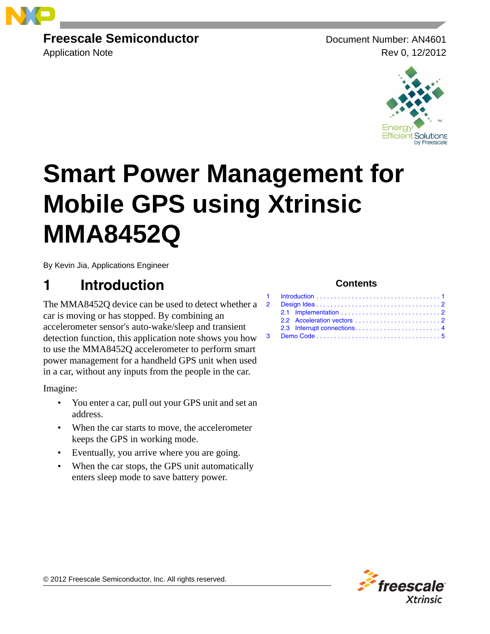

## **Freescale Semiconductor** Document Number: AN4601

Application Note **Rev** 0, 12/2012



# **Smart Power Management for Mobile GPS using Xtrinsic MMA8452Q**

By Kevin Jia, Applications Engineer

# <span id="page-0-0"></span>**1 Introduction**

The MMA8452O device can be used to detect whether a 2 car is moving or has stopped. By combining an accelerometer sensor's auto-wake/sleep and transient detection function, this application note shows you how to use the MMA8452Q accelerometer to perform smart power management for a handheld GPS unit when used in a car, without any inputs from the people in the car.

Imagine:

- You enter a car, pull out your GPS unit and set an address.
- When the car starts to move, the accelerometer keeps the GPS in working mode.
- Eventually, you arrive where you are going.
- When the car stops, the GPS unit automatically enters sleep mode to save battery power.

### **Contents**



© 2012 Freescale Semiconductor, Inc. All rights reserved.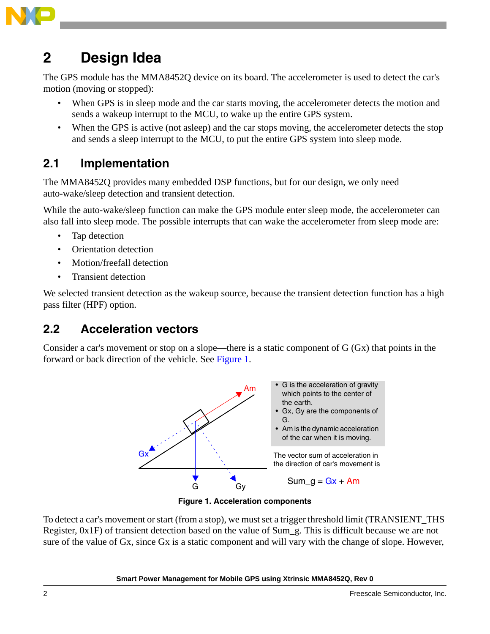

## <span id="page-1-0"></span>**2 Design Idea**

The GPS module has the MMA8452Q device on its board. The accelerometer is used to detect the car's motion (moving or stopped):

- When GPS is in sleep mode and the car starts moving, the accelerometer detects the motion and sends a wakeup interrupt to the MCU, to wake up the entire GPS system.
- When the GPS is active (not asleep) and the car stops moving, the accelerometer detects the stop and sends a sleep interrupt to the MCU, to put the entire GPS system into sleep mode.

## <span id="page-1-1"></span>**2.1 Implementation**

The MMA8452Q provides many embedded DSP functions, but for our design, we only need auto-wake/sleep detection and transient detection.

While the auto-wake/sleep function can make the GPS module enter sleep mode, the accelerometer can also fall into sleep mode. The possible interrupts that can wake the accelerometer from sleep mode are:

- Tap detection
- Orientation detection
- Motion/freefall detection
- Transient detection

We selected transient detection as the wakeup source, because the transient detection function has a high pass filter (HPF) option.

## <span id="page-1-2"></span>**2.2 Acceleration vectors**

Consider a car's movement or stop on a slope—there is a static component of G (Gx) that points in the forward or back direction of the vehicle. See [Figure 1](#page-1-3).



**Figure 1. Acceleration components**

<span id="page-1-3"></span>To detect a car's movement or start (from a stop), we must set a trigger threshold limit (TRANSIENT\_THS Register, 0x1F) of transient detection based on the value of Sum\_g. This is difficult because we are not sure of the value of Gx, since Gx is a static component and will vary with the change of slope. However,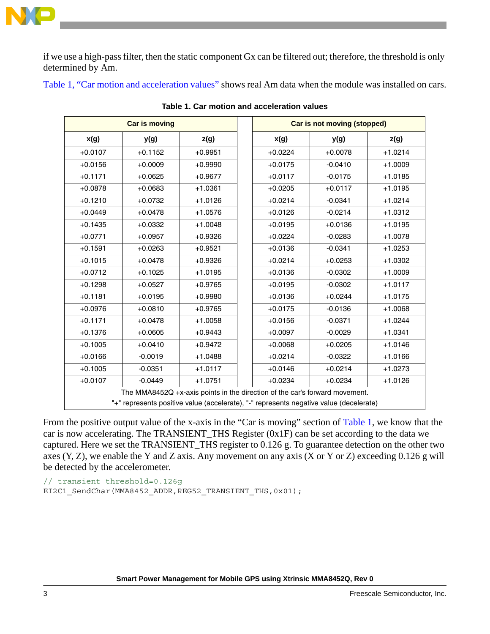

if we use a high-pass filter, then the static component Gx can be filtered out; therefore, the threshold is only determined by Am.

<span id="page-2-0"></span>[Table 1, "Car motion and acceleration values"](#page-2-0) shows real Am data when the module was installed on cars.

|                                                                                                                                                                       | <b>Car is moving</b> |           |  | <b>Car is not moving (stopped)</b> |           |           |
|-----------------------------------------------------------------------------------------------------------------------------------------------------------------------|----------------------|-----------|--|------------------------------------|-----------|-----------|
| x(g)                                                                                                                                                                  | y(g)                 | z(g)      |  | x(g)                               | y(g)      | z(g)      |
| $+0.0107$                                                                                                                                                             | $+0.1152$            | $+0.9951$ |  | $+0.0224$                          | $+0.0078$ | $+1.0214$ |
| $+0.0156$                                                                                                                                                             | $+0.0009$            | $+0.9990$ |  | $+0.0175$                          | $-0.0410$ | $+1.0009$ |
| $+0.1171$                                                                                                                                                             | $+0.0625$            | $+0.9677$ |  | $+0.0117$                          | $-0.0175$ | $+1.0185$ |
| $+0.0878$                                                                                                                                                             | $+0.0683$            | $+1.0361$ |  | $+0.0205$                          | $+0.0117$ | $+1.0195$ |
| $+0.1210$                                                                                                                                                             | $+0.0732$            | $+1.0126$ |  | $+0.0214$                          | $-0.0341$ | $+1.0214$ |
| $+0.0449$                                                                                                                                                             | $+0.0478$            | $+1.0576$ |  | $+0.0126$                          | $-0.0214$ | $+1.0312$ |
| $+0.1435$                                                                                                                                                             | $+0.0332$            | $+1.0048$ |  | $+0.0195$                          | $+0.0136$ | $+1.0195$ |
| $+0.0771$                                                                                                                                                             | $+0.0957$            | $+0.9326$ |  | $+0.0224$                          | $-0.0283$ | $+1.0078$ |
| $+0.1591$                                                                                                                                                             | $+0.0263$            | $+0.9521$ |  | $+0.0136$                          | $-0.0341$ | $+1.0253$ |
| $+0.1015$                                                                                                                                                             | $+0.0478$            | $+0.9326$ |  | $+0.0214$                          | $+0.0253$ | $+1.0302$ |
| $+0.0712$                                                                                                                                                             | $+0.1025$            | $+1.0195$ |  | $+0.0136$                          | $-0.0302$ | $+1.0009$ |
| $+0.1298$                                                                                                                                                             | $+0.0527$            | $+0.9765$ |  | $+0.0195$                          | $-0.0302$ | $+1.0117$ |
| $+0.1181$                                                                                                                                                             | $+0.0195$            | $+0.9980$ |  | $+0.0136$                          | $+0.0244$ | $+1.0175$ |
| $+0.0976$                                                                                                                                                             | $+0.0810$            | $+0.9765$ |  | $+0.0175$                          | $-0.0136$ | $+1.0068$ |
| $+0.1171$                                                                                                                                                             | $+0.0478$            | $+1.0058$ |  | $+0.0156$                          | $-0.0371$ | $+1.0244$ |
| $+0.1376$                                                                                                                                                             | $+0.0605$            | $+0.9443$ |  | $+0.0097$                          | $-0.0029$ | $+1.0341$ |
| $+0.1005$                                                                                                                                                             | $+0.0410$            | $+0.9472$ |  | $+0.0068$                          | $+0.0205$ | $+1.0146$ |
| $+0.0166$                                                                                                                                                             | $-0.0019$            | $+1.0488$ |  | $+0.0214$                          | $-0.0322$ | $+1.0166$ |
| $+0.1005$                                                                                                                                                             | $-0.0351$            | $+1.0117$ |  | $+0.0146$                          | $+0.0214$ | $+1.0273$ |
| $+0.0107$                                                                                                                                                             | $-0.0449$            | $+1.0751$ |  | $+0.0234$                          | $+0.0234$ | $+1.0126$ |
| The MMA8452Q +x-axis points in the direction of the car's forward movement.<br>"+" represents positive value (accelerate), "-" represents negative value (decelerate) |                      |           |  |                                    |           |           |

**Table 1. Car motion and acceleration values**

From the positive output value of the x-axis in the "Car is moving" section of [Table 1](#page-2-0), we know that the car is now accelerating. The TRANSIENT\_THS Register (0x1F) can be set according to the data we captured. Here we set the TRANSIENT\_THS register to 0.126 g. To guarantee detection on the other two axes (Y, Z), we enable the Y and Z axis. Any movement on any axis (X or Y or Z) exceeding 0.126 g will be detected by the accelerometer.

// transient threshold=0.126g EI2C1 SendChar(MMA8452 ADDR,REG52 TRANSIENT THS,0x01);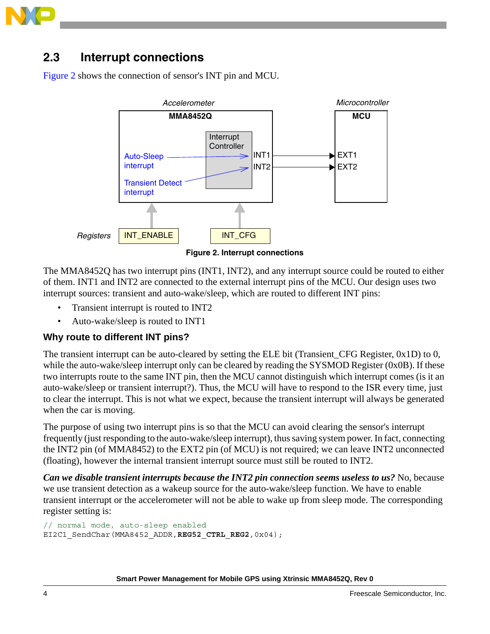

## <span id="page-3-0"></span>**2.3 Interrupt connections**

[Figure 2](#page-3-1) shows the connection of sensor's INT pin and MCU.



**Figure 2. Interrupt connections**

<span id="page-3-1"></span>The MMA8452Q has two interrupt pins (INT1, INT2), and any interrupt source could be routed to either of them. INT1 and INT2 are connected to the external interrupt pins of the MCU. Our design uses two interrupt sources: transient and auto-wake/sleep, which are routed to different INT pins:

- Transient interrupt is routed to INT2
- Auto-wake/sleep is routed to INT1

#### **Why route to different INT pins?**

The transient interrupt can be auto-cleared by setting the ELE bit (Transient CFG Register,  $0x1D$ ) to 0, while the auto-wake/sleep interrupt only can be cleared by reading the SYSMOD Register (0x0B). If these two interrupts route to the same INT pin, then the MCU cannot distinguish which interrupt comes (is it an auto-wake/sleep or transient interrupt?). Thus, the MCU will have to respond to the ISR every time, just to clear the interrupt. This is not what we expect, because the transient interrupt will always be generated when the car is moving.

The purpose of using two interrupt pins is so that the MCU can avoid clearing the sensor's interrupt frequently (just responding to the auto-wake/sleep interrupt), thus saving system power. In fact, connecting the INT2 pin (of MMA8452) to the EXT2 pin (of MCU) is not required; we can leave INT2 unconnected (floating), however the internal transient interrupt source must still be routed to INT2.

*Can we disable transient interrupts because the INT2 pin connection seems useless to us?* No, because we use transient detection as a wakeup source for the auto-wake/sleep function. We have to enable transient interrupt or the accelerometer will not be able to wake up from sleep mode. The corresponding register setting is:

```
// normal mode, auto-sleep enabled
EI2C1_SendChar(MMA8452_ADDR,REG52_CTRL_REG2,0x04);
```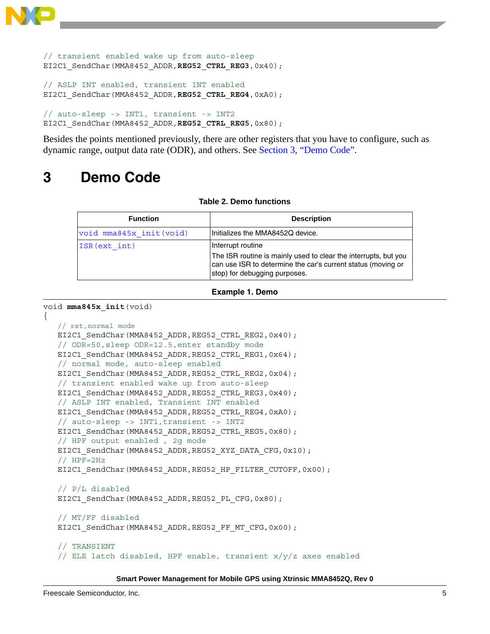```
// transient enabled wake up from auto-sleep
EI2C1_SendChar(MMA8452_ADDR,REG52_CTRL_REG3,0x40);
// ASLP INT enabled, transient INT enabled
EI2C1_SendChar(MMA8452_ADDR,REG52_CTRL_REG4,0xA0);
// auto-sleep -> INT1, transient -> INT2
EI2C1_SendChar(MMA8452_ADDR,REG52_CTRL_REG5,0x80);
```
Besides the points mentioned previously, there are other registers that you have to configure, such as dynamic range, output data rate (ODR), and others. See [Section 3, "Demo Code"](#page-4-0).

# <span id="page-4-0"></span>**3 Demo Code**

#### **Table 2. Demo functions**

| <b>Function</b>          | <b>Description</b>                                                                                                                                                                    |
|--------------------------|---------------------------------------------------------------------------------------------------------------------------------------------------------------------------------------|
| void mma845x init (void) | Initializes the MMA8452Q device.                                                                                                                                                      |
| ISR (ext int)            | Interrupt routine<br>The ISR routine is mainly used to clear the interrupts, but you<br>can use ISR to determine the car's current status (moving or<br>stop) for debugging purposes. |

```
Example 1. Demo
```

```
void mma845x_init(void)
```
{

```
 // rst,normal mode
EI2C1_SendChar(MMA8452_ADDR,REG52_CTRL_REG2,0x40);
 // ODR=50,sleep ODR=12.5,enter standby mode
EI2C1 SendChar(MMA8452 ADDR,REG52 CTRL REG1,0x64);
 // normal mode, auto-sleep enabled
EI2C1_SendChar(MMA8452_ADDR,REG52_CTRL_REG2,0x04);
 // transient enabled wake up from auto-sleep
EI2C1_SendChar(MMA8452_ADDR,REG52_CTRL_REG3,0x40);
 // ASLP INT enabled, Transient INT enabled
EI2C1_SendChar(MMA8452_ADDR,REG52_CTRL_REG4,0xA0);
 // auto-sleep -> INT1,transient -> INT2
EI2C1_SendChar(MMA8452_ADDR,REG52_CTRL_REG5,0x80);
 // HPF output enabled , 2g mode
EI2C1 SendChar(MMA8452 ADDR,REG52 XYZ DATA CFG,0x10);
 // HPF=2Hz
EI2C1_SendChar(MMA8452_ADDR,REG52_HP_FILTER_CUTOFF,0x00);
 // P/L disabled
EI2C1_SendChar(MMA8452_ADDR,REG52_PL_CFG,0x80);
 // MT/FF disabled
EI2C1_SendChar(MMA8452_ADDR,REG52_FF_MT_CFG,0x00);
 // TRANSIENT
// ELE latch disabled, HPF enable, transient x/y/z axes enabled
```
#### **Smart Power Management for Mobile GPS using Xtrinsic MMA8452Q, Rev 0**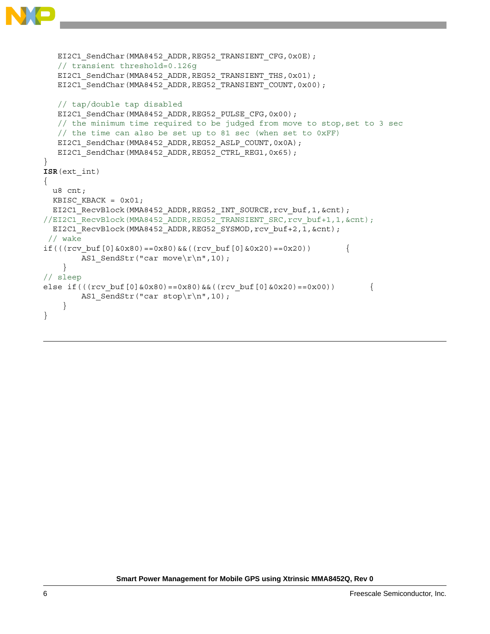```
EI2C1 SendChar(MMA8452 ADDR,REG52 TRANSIENT CFG,0x0E);
    // transient threshold=0.126g
   EI2C1 SendChar(MMA8452 ADDR,REG52 TRANSIENT THS,0x01);
   EI2C1 SendChar(MMA8452 ADDR,REG52 TRANSIENT COUNT,0x00);
    // tap/double tap disabled
   EI2C1 SendChar(MMA8452 ADDR,REG52 PULSE CFG,0x00);
    // the minimum time required to be judged from move to stop,set to 3 sec
   // the time can also be set up to 81 sec (when set to 0xFF)
  EI2C1 SendChar(MMA8452 ADDR,REG52 ASLP COUNT, 0x0A);
  EI2C1 SendChar(MMA8452 ADDR,REG52 CTRL REG1,0x65);
}
ISR(ext_int)
{
  u8 cnt;
 KBISC KBACK = 0x01;
  EI2C1_RecvBlock(MMA8452_ADDR,REG52_INT_SOURCE,rcv_buf,1,&cnt);
//EI2C1_RecvBlock(MMA8452_ADDR,REG52_TRANSIENT_SRC,rcv_buf+1,1,&cnt);
 EI2C1 RecvBlock(MMA8452 ADDR,REG52 SYSMOD, rcv buf+2,1,&cnt);
// wake 
if(((rcv_buf[0]&0x80)==0x80)&&((rcv_buf[0]&0x20)==0x20)) \{AS1 SendStr("car move\r\n\cdot 10);
     } 
// sleep 
else if(((rcv buf[0]&0x80)==0x80)&&((rcv buf[0]&0x20)==0x00)) {
       AS1 SendStr("car stop\r\n",10);
     } 
}
```